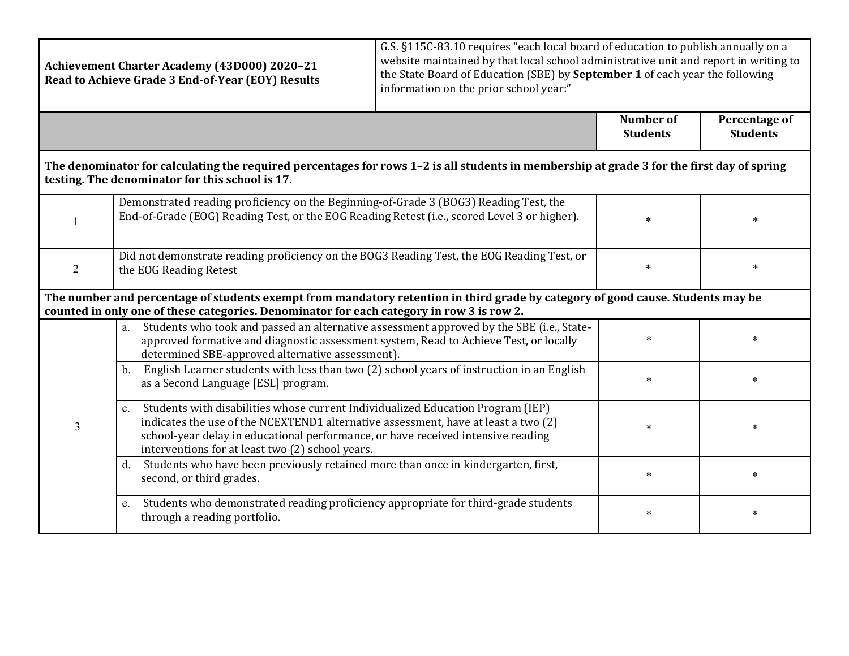| Achievement Charter Academy (43D000) 2020-21<br>Read to Achieve Grade 3 End-of-Year (EOY) Results                                                                                                                            |                                                                                                                                                                                                                                                                                                                  | G.S. §115C-83.10 requires "each local board of education to publish annually on a<br>website maintained by that local school administrative unit and report in writing to<br>the State Board of Education (SBE) by September 1 of each year the following<br>information on the prior school year:" |                                     |                                  |  |
|------------------------------------------------------------------------------------------------------------------------------------------------------------------------------------------------------------------------------|------------------------------------------------------------------------------------------------------------------------------------------------------------------------------------------------------------------------------------------------------------------------------------------------------------------|-----------------------------------------------------------------------------------------------------------------------------------------------------------------------------------------------------------------------------------------------------------------------------------------------------|-------------------------------------|----------------------------------|--|
|                                                                                                                                                                                                                              |                                                                                                                                                                                                                                                                                                                  |                                                                                                                                                                                                                                                                                                     | <b>Number of</b><br><b>Students</b> | Percentage of<br><b>Students</b> |  |
| The denominator for calculating the required percentages for rows 1-2 is all students in membership at grade 3 for the first day of spring<br>testing. The denominator for this school is 17.                                |                                                                                                                                                                                                                                                                                                                  |                                                                                                                                                                                                                                                                                                     |                                     |                                  |  |
|                                                                                                                                                                                                                              | Demonstrated reading proficiency on the Beginning-of-Grade 3 (BOG3) Reading Test, the<br>End-of-Grade (EOG) Reading Test, or the EOG Reading Retest (i.e., scored Level 3 or higher).                                                                                                                            |                                                                                                                                                                                                                                                                                                     | $\ast$                              |                                  |  |
| 2                                                                                                                                                                                                                            | Did not demonstrate reading proficiency on the BOG3 Reading Test, the EOG Reading Test, or<br>the EOG Reading Retest                                                                                                                                                                                             |                                                                                                                                                                                                                                                                                                     | $\ast$                              | $\ast$                           |  |
| The number and percentage of students exempt from mandatory retention in third grade by category of good cause. Students may be<br>counted in only one of these categories. Denominator for each category in row 3 is row 2. |                                                                                                                                                                                                                                                                                                                  |                                                                                                                                                                                                                                                                                                     |                                     |                                  |  |
| $\overline{3}$                                                                                                                                                                                                               | Students who took and passed an alternative assessment approved by the SBE (i.e., State-<br>a.<br>approved formative and diagnostic assessment system, Read to Achieve Test, or locally<br>determined SBE-approved alternative assessment).                                                                      |                                                                                                                                                                                                                                                                                                     | $\ast$                              |                                  |  |
|                                                                                                                                                                                                                              | English Learner students with less than two (2) school years of instruction in an English<br>b.<br>as a Second Language [ESL] program.                                                                                                                                                                           |                                                                                                                                                                                                                                                                                                     | $\ast$                              |                                  |  |
|                                                                                                                                                                                                                              | c. Students with disabilities whose current Individualized Education Program (IEP)<br>indicates the use of the NCEXTEND1 alternative assessment, have at least a two (2)<br>school-year delay in educational performance, or have received intensive reading<br>interventions for at least two (2) school years. |                                                                                                                                                                                                                                                                                                     | $\ast$                              | $\ast$                           |  |
|                                                                                                                                                                                                                              | Students who have been previously retained more than once in kindergarten, first,<br>d.<br>second, or third grades.                                                                                                                                                                                              |                                                                                                                                                                                                                                                                                                     | $\ast$                              | $\ast$                           |  |
|                                                                                                                                                                                                                              | Students who demonstrated reading proficiency appropriate for third-grade students<br>e.<br>through a reading portfolio.                                                                                                                                                                                         |                                                                                                                                                                                                                                                                                                     | $\ast$                              | $\ast$                           |  |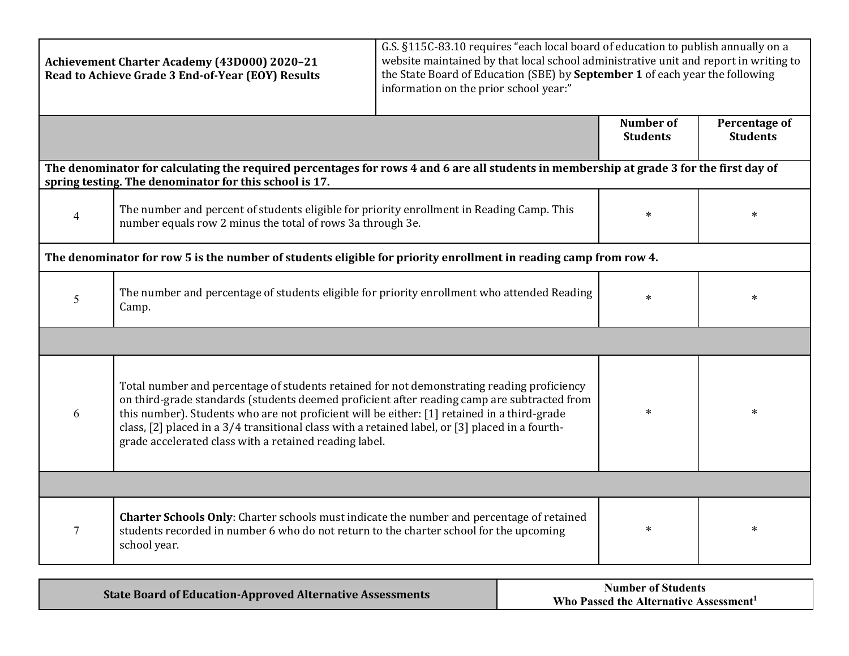| Achievement Charter Academy (43D000) 2020-21<br>Read to Achieve Grade 3 End-of-Year (EOY) Results                                                                                                  |                                                                                                                                                                                                                                                                                                                                                                                                                                                       | G.S. §115C-83.10 requires "each local board of education to publish annually on a<br>website maintained by that local school administrative unit and report in writing to<br>the State Board of Education (SBE) by September 1 of each year the following<br>information on the prior school year:" |                                     |                                  |  |
|----------------------------------------------------------------------------------------------------------------------------------------------------------------------------------------------------|-------------------------------------------------------------------------------------------------------------------------------------------------------------------------------------------------------------------------------------------------------------------------------------------------------------------------------------------------------------------------------------------------------------------------------------------------------|-----------------------------------------------------------------------------------------------------------------------------------------------------------------------------------------------------------------------------------------------------------------------------------------------------|-------------------------------------|----------------------------------|--|
|                                                                                                                                                                                                    |                                                                                                                                                                                                                                                                                                                                                                                                                                                       |                                                                                                                                                                                                                                                                                                     | <b>Number of</b><br><b>Students</b> | Percentage of<br><b>Students</b> |  |
| The denominator for calculating the required percentages for rows 4 and 6 are all students in membership at grade 3 for the first day of<br>spring testing. The denominator for this school is 17. |                                                                                                                                                                                                                                                                                                                                                                                                                                                       |                                                                                                                                                                                                                                                                                                     |                                     |                                  |  |
| $\overline{4}$                                                                                                                                                                                     | The number and percent of students eligible for priority enrollment in Reading Camp. This<br>number equals row 2 minus the total of rows 3a through 3e.                                                                                                                                                                                                                                                                                               |                                                                                                                                                                                                                                                                                                     | $\ast$                              | $\ast$                           |  |
| The denominator for row 5 is the number of students eligible for priority enrollment in reading camp from row 4.                                                                                   |                                                                                                                                                                                                                                                                                                                                                                                                                                                       |                                                                                                                                                                                                                                                                                                     |                                     |                                  |  |
| 5                                                                                                                                                                                                  | The number and percentage of students eligible for priority enrollment who attended Reading<br>Camp.                                                                                                                                                                                                                                                                                                                                                  |                                                                                                                                                                                                                                                                                                     | $\ast$                              | $\ast$                           |  |
|                                                                                                                                                                                                    |                                                                                                                                                                                                                                                                                                                                                                                                                                                       |                                                                                                                                                                                                                                                                                                     |                                     |                                  |  |
| 6                                                                                                                                                                                                  | Total number and percentage of students retained for not demonstrating reading proficiency<br>on third-grade standards (students deemed proficient after reading camp are subtracted from<br>this number). Students who are not proficient will be either: [1] retained in a third-grade<br>class, [2] placed in a 3/4 transitional class with a retained label, or [3] placed in a fourth-<br>grade accelerated class with a retained reading label. |                                                                                                                                                                                                                                                                                                     | $\ast$                              | $\ast$                           |  |
|                                                                                                                                                                                                    |                                                                                                                                                                                                                                                                                                                                                                                                                                                       |                                                                                                                                                                                                                                                                                                     |                                     |                                  |  |
| 7                                                                                                                                                                                                  | <b>Charter Schools Only:</b> Charter schools must indicate the number and percentage of retained<br>students recorded in number 6 who do not return to the charter school for the upcoming<br>school year.                                                                                                                                                                                                                                            |                                                                                                                                                                                                                                                                                                     | $\ast$                              | $\ast$                           |  |

| <b>State Board of Education-Approved Alternative Assessments</b> | <b>Number of Students</b>                          |  |
|------------------------------------------------------------------|----------------------------------------------------|--|
|                                                                  | Who Passed the Alternative Assessment <sup>1</sup> |  |